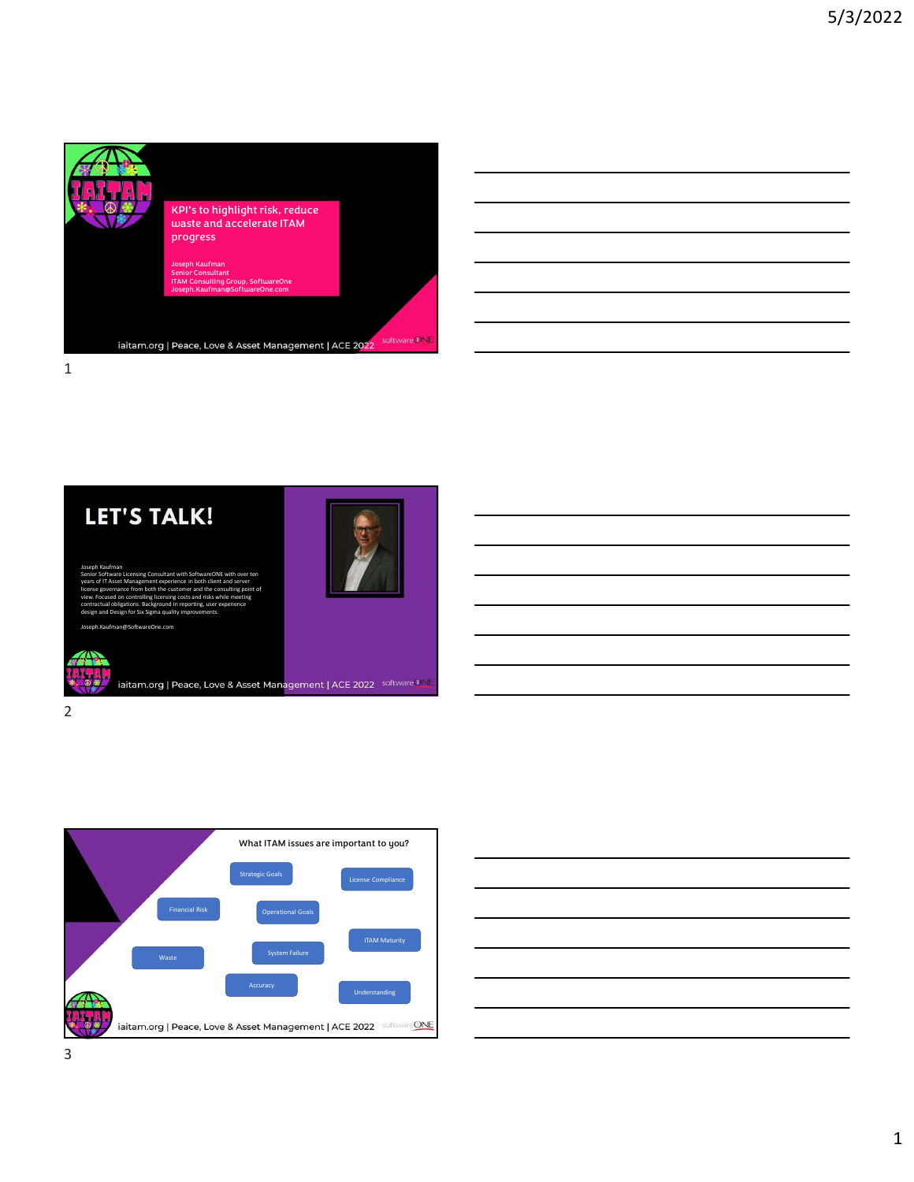





Senior Software Licensing Consultant with Software ONE with over ten<br>years of IT Asset Management experience in both client and server<br>license governance from both the customer and the consulting point of<br>view. Focused on

2

Joseph.Kaufman@SoftwareOne.com

iaitam.org | Peace, Love & Asset Management | ACE 2022 software DNL



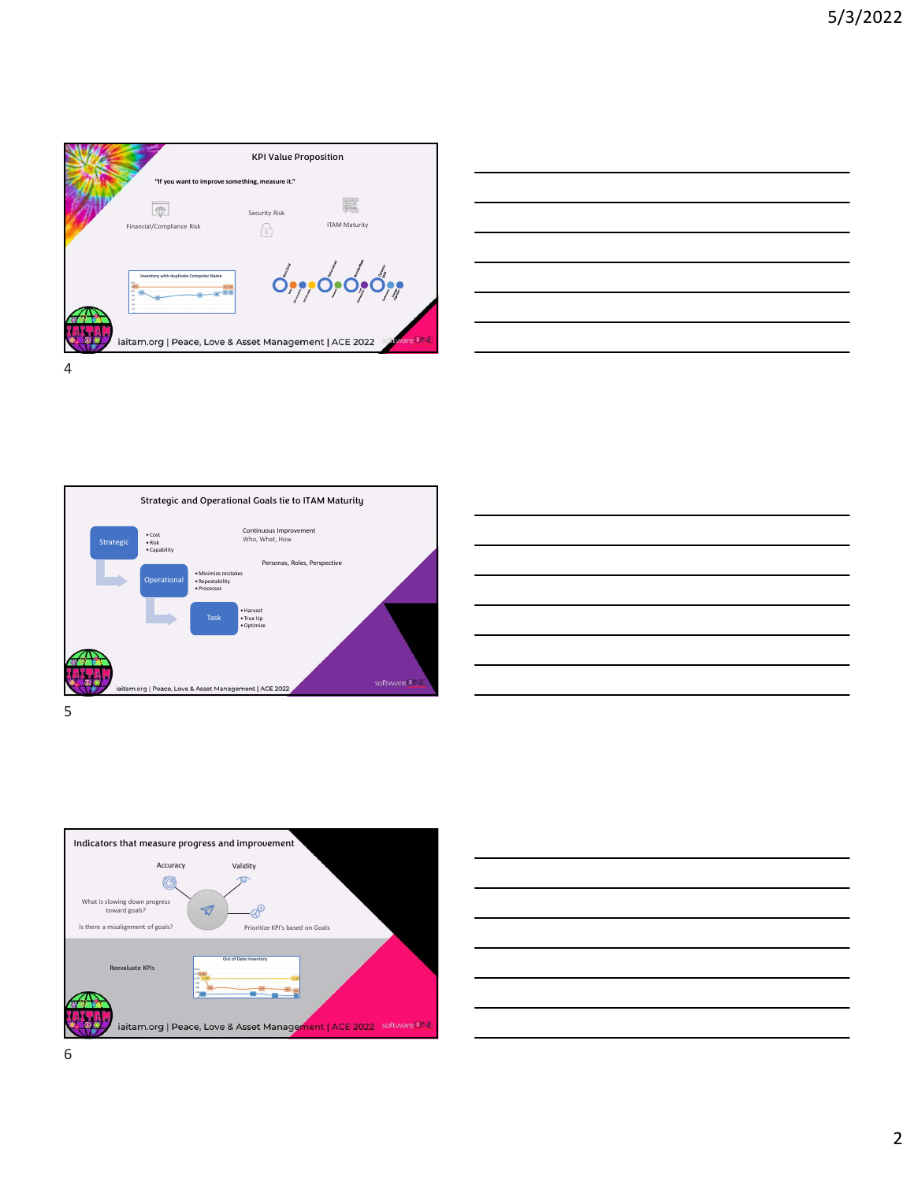









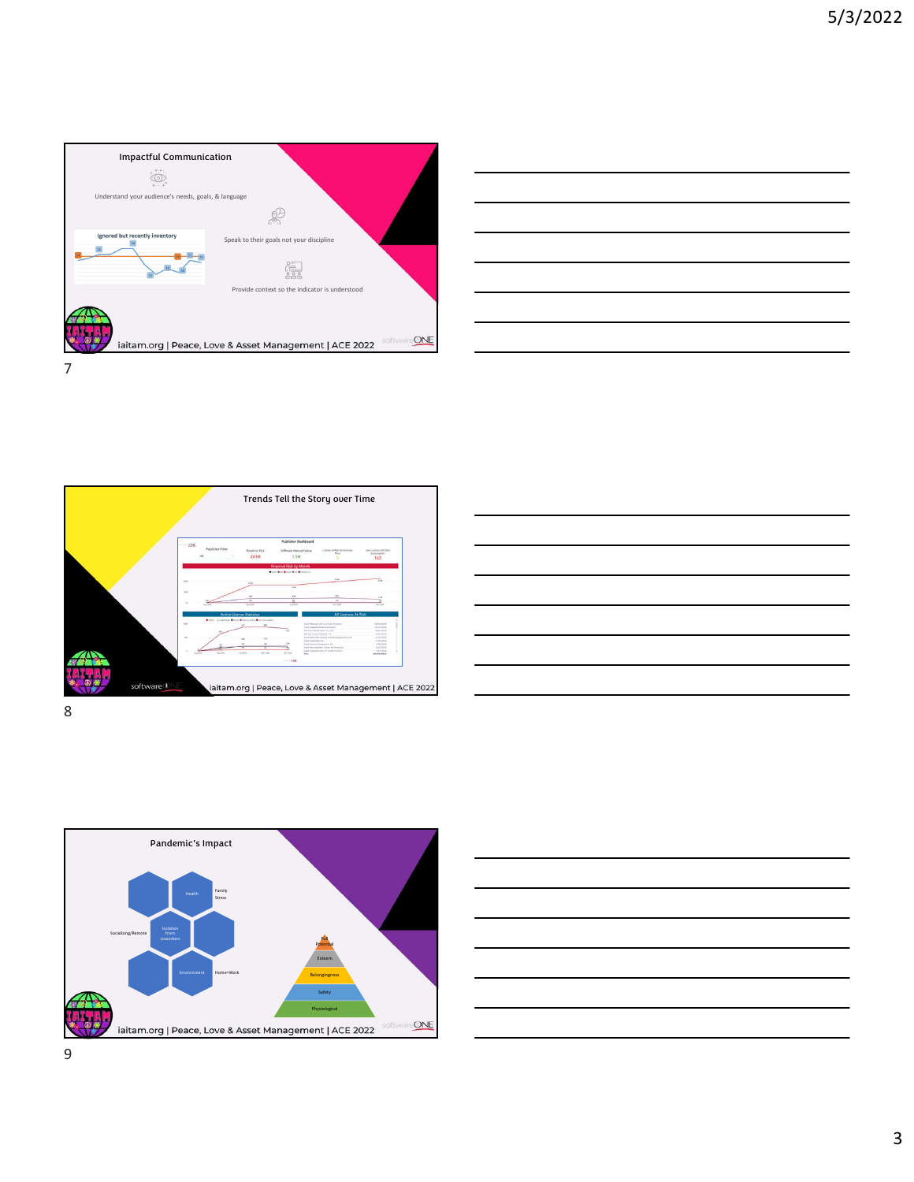





| the control of the control of the control of the control of the control of |  |  |
|----------------------------------------------------------------------------|--|--|
|                                                                            |  |  |
|                                                                            |  |  |
|                                                                            |  |  |
|                                                                            |  |  |
|                                                                            |  |  |